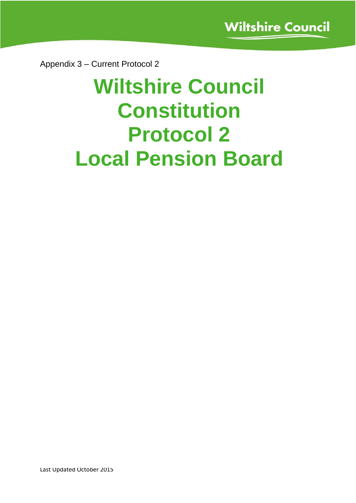Appendix 3 – Current Protocol 2

# **Wiltshire Council Constitution Protocol 2 Local Pension Board**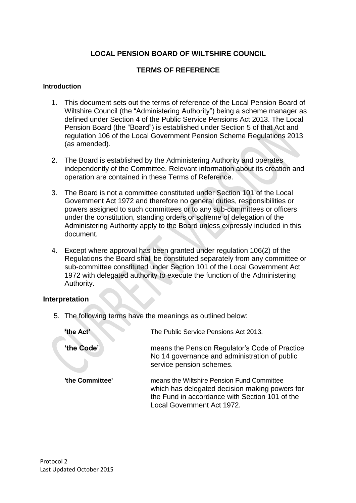# **LOCAL PENSION BOARD OF WILTSHIRE COUNCIL**

# **TERMS OF REFERENCE**

#### **Introduction**

- 1. This document sets out the terms of reference of the Local Pension Board of Wiltshire Council (the "Administering Authority") being a scheme manager as defined under Section 4 of the Public Service Pensions Act 2013. The Local Pension Board (the "Board") is established under Section 5 of that Act and regulation 106 of the Local Government Pension Scheme Regulations 2013 (as amended).
- 2. The Board is established by the Administering Authority and operates independently of the Committee. Relevant information about its creation and operation are contained in these Terms of Reference.
- 3. The Board is not a committee constituted under Section 101 of the Local Government Act 1972 and therefore no general duties, responsibilities or powers assigned to such committees or to any sub-committees or officers under the constitution, standing orders or scheme of delegation of the Administering Authority apply to the Board unless expressly included in this document.
- 4. Except where approval has been granted under regulation 106(2) of the Regulations the Board shall be constituted separately from any committee or sub-committee constituted under Section 101 of the Local Government Act 1972 with delegated authority to execute the function of the Administering Authority.

## **Interpretation**

5. The following terms have the meanings as outlined below:

| 'the Act'       | The Public Service Pensions Act 2013.                                                                                                                                        |
|-----------------|------------------------------------------------------------------------------------------------------------------------------------------------------------------------------|
| 'the Code'      | means the Pension Regulator's Code of Practice<br>No 14 governance and administration of public<br>service pension schemes.                                                  |
| 'the Committee' | means the Wiltshire Pension Fund Committee<br>which has delegated decision making powers for<br>the Fund in accordance with Section 101 of the<br>Local Government Act 1972. |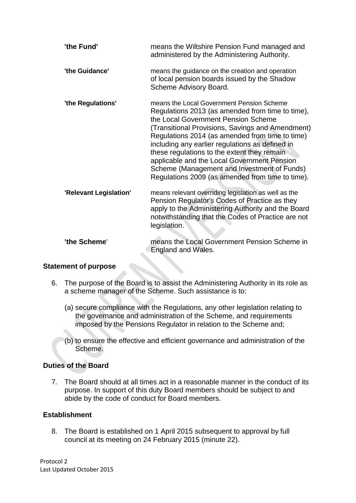| 'the Fund'             | means the Wiltshire Pension Fund managed and<br>administered by the Administering Authority.                                                                                                                                                                                                                                                                                                                                                                                                    |
|------------------------|-------------------------------------------------------------------------------------------------------------------------------------------------------------------------------------------------------------------------------------------------------------------------------------------------------------------------------------------------------------------------------------------------------------------------------------------------------------------------------------------------|
| 'the Guidance'         | means the guidance on the creation and operation<br>of local pension boards issued by the Shadow<br>Scheme Advisory Board.                                                                                                                                                                                                                                                                                                                                                                      |
| 'the Regulations'      | means the Local Government Pension Scheme<br>Regulations 2013 (as amended from time to time),<br>the Local Government Pension Scheme<br>(Transitional Provisions, Savings and Amendment)<br>Regulations 2014 (as amended from time to time)<br>including any earlier regulations as defined in<br>these regulations to the extent they remain<br>applicable and the Local Government Pension<br>Scheme (Management and Investment of Funds)<br>Regulations 2009 (as amended from time to time). |
| 'Relevant Legislation' | means relevant overriding legislation as well as the<br>Pension Regulator's Codes of Practice as they<br>apply to the Administering Authority and the Board<br>notwithstanding that the Codes of Practice are not<br>legislation.                                                                                                                                                                                                                                                               |
| 'the Scheme'           | means the Local Government Pension Scheme in<br>England and Wales.                                                                                                                                                                                                                                                                                                                                                                                                                              |

## **Statement of purpose**

- <span id="page-2-0"></span>6. The purpose of the Board is to assist the Administering Authority in its role as a scheme manager of the Scheme. Such assistance is to:
	- (a) secure compliance with the Regulations, any other legislation relating to the governance and administration of the Scheme, and requirements imposed by the Pensions Regulator in relation to the Scheme and;
	- (b) to ensure the effective and efficient governance and administration of the Scheme.

# **Duties of the Board**

7. The Board should at all times act in a reasonable manner in the conduct of its purpose. In support of this duty Board members should be subject to and abide by the code of conduct for Board members.

## **Establishment**

8. The Board is established on 1 April 2015 subsequent to approval by full council at its meeting on 24 February 2015 (minute 22).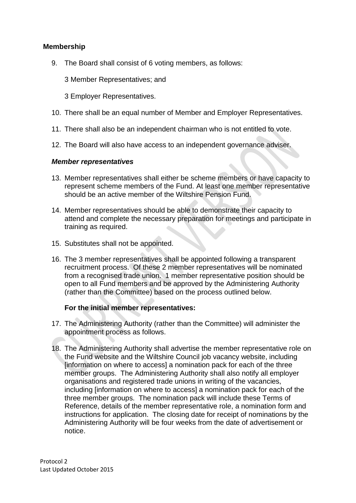# **Membership**

9. The Board shall consist of 6 voting members, as follows:

3 Member Representatives; and

3 Employer Representatives.

- 10. There shall be an equal number of Member and Employer Representatives.
- 11. There shall also be an independent chairman who is not entitled to vote.
- 12. The Board will also have access to an independent governance adviser.

## *Member representatives*

- 13. Member representatives shall either be scheme members or have capacity to represent scheme members of the Fund. At least one member representative should be an active member of the Wiltshire Pension Fund.
- 14. Member representatives should be able to demonstrate their capacity to attend and complete the necessary preparation for meetings and participate in training as required.
- 15. Substitutes shall not be appointed.
- 16. The 3 member representatives shall be appointed following a transparent recruitment process. Of these 2 member representatives will be nominated from a recognised trade union. 1 member representative position should be open to all Fund members and be approved by the Administering Authority (rather than the Committee) based on the process outlined below.

## **For the initial member representatives:**

- 17. The Administering Authority (rather than the Committee) will administer the appointment process as follows.
- 18. The Administering Authority shall advertise the member representative role on the Fund website and the Wiltshire Council job vacancy website, including [information on where to access] a nomination pack for each of the three member groups. The Administering Authority shall also notify all employer organisations and registered trade unions in writing of the vacancies, including [information on where to access] a nomination pack for each of the three member groups. The nomination pack will include these Terms of Reference, details of the member representative role, a nomination form and instructions for application. The closing date for receipt of nominations by the Administering Authority will be four weeks from the date of advertisement or notice.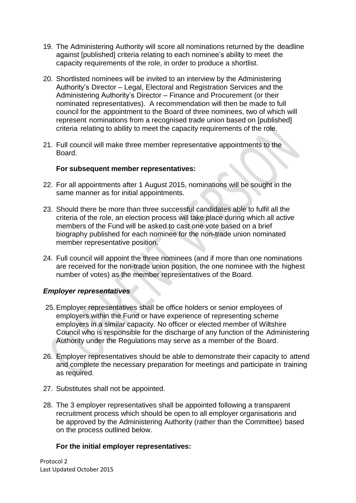- 19. The Administering Authority will score all nominations returned by the deadline against [published] criteria relating to each nominee's ability to meet the capacity requirements of the role, in order to produce a shortlist.
- 20. Shortlisted nominees will be invited to an interview by the Administering Authority's Director – Legal, Electoral and Registration Services and the Administering Authority's Director – Finance and Procurement (or their nominated representatives). A recommendation will then be made to full council for the appointment to the Board of three nominees, two of which will represent nominations from a recognised trade union based on [published] criteria relating to ability to meet the capacity requirements of the role.
- 21. Full council will make three member representative appointments to the Board.

## **For subsequent member representatives:**

- 22. For all appointments after 1 August 2015, nominations will be sought in the same manner as for initial appointments.
- 23. Should there be more than three successful candidates able to fulfil all the criteria of the role, an election process will take place during which all active members of the Fund will be asked to cast one vote based on a brief biography published for each nominee for the non-trade union nominated member representative position.
- 24. Full council will appoint the three nominees (and if more than one nominations are received for the non-trade union position, the one nominee with the highest number of votes) as the member representatives of the Board.

## *Employer representatives*

- 25.Employer representatives shall be office holders or senior employees of employers within the Fund or have experience of representing scheme employers in a similar capacity. No officer or elected member of Wiltshire Council who is responsible for the discharge of any function of the Administering Authority under the Regulations may serve as a member of the Board.
- 26. Employer representatives should be able to demonstrate their capacity to attend and complete the necessary preparation for meetings and participate in training as required.
- 27. Substitutes shall not be appointed.
- 28. The 3 employer representatives shall be appointed following a transparent recruitment process which should be open to all employer organisations and be approved by the Administering Authority (rather than the Committee) based on the process outlined below.

## **For the initial employer representatives:**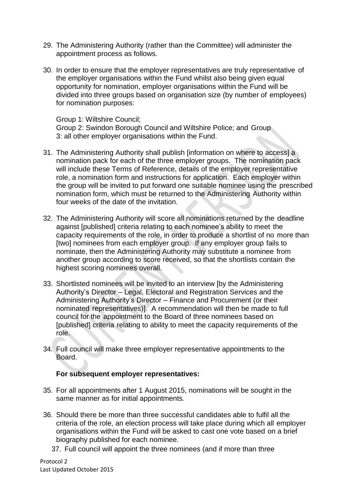- 29. The Administering Authority (rather than the Committee) will administer the appointment process as follows.
- 30. In order to ensure that the employer representatives are truly representative of the employer organisations within the Fund whilst also being given equal opportunity for nomination, employer organisations within the Fund will be divided into three groups based on organisation size (by number of employees) for nomination purposes:

Group 1: Wiltshire Council; Group 2: Swindon Borough Council and Wiltshire Police; and Group 3: all other employer organisations within the Fund.

- 31. The Administering Authority shall publish [information on where to access] a nomination pack for each of the three employer groups. The nomination pack will include these Terms of Reference, details of the employer representative role, a nomination form and instructions for application. Each employer within the group will be invited to put forward one suitable nominee using the prescribed nomination form, which must be returned to the Administering Authority within four weeks of the date of the invitation.
- 32. The Administering Authority will score all nominations returned by the deadline against [published] criteria relating to each nominee's ability to meet the capacity requirements of the role, in order to produce a shortlist of no more than [two] nominees from each employer group. If any employer group fails to nominate, then the Administering Authority may substitute a nominee from another group according to score received, so that the shortlists contain the highest scoring nominees overall.
- 33. Shortlisted nominees will be invited to an interview [by the Administering Authority's Director – Legal, Electoral and Registration Services and the Administering Authority's Director – Finance and Procurement (or their nominated representatives)]. A recommendation will then be made to full council for the appointment to the Board of three nominees based on [published] criteria relating to ability to meet the capacity requirements of the role.
- 34. Full council will make three employer representative appointments to the Board.

## **For subsequent employer representatives:**

- 35. For all appointments after 1 August 2015, nominations will be sought in the same manner as for initial appointments.
- 36. Should there be more than three successful candidates able to fulfil all the criteria of the role, an election process will take place during which all employer organisations within the Fund will be asked to cast one vote based on a brief biography published for each nominee.
	- 37. Full council will appoint the three nominees (and if more than three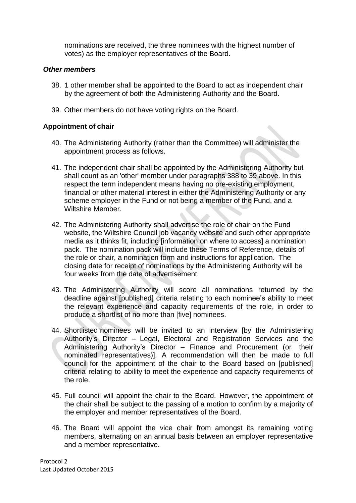nominations are received, the three nominees with the highest number of votes) as the employer representatives of the Board.

## *Other members*

- 38. 1 other member shall be appointed to the Board to act as independent chair by the agreement of both the Administering Authority and the Board.
- 39. Other members do not have voting rights on the Board.

## **Appointment of chair**

- 40. The Administering Authority (rather than the Committee) will administer the appointment process as follows.
- 41. The independent chair shall be appointed by the Administering Authority but shall count as an 'other' member under paragraphs 388 to 39 above. In this respect the term independent means having no pre-existing employment, financial or other material interest in either the Administering Authority or any scheme employer in the Fund or not being a member of the Fund, and a Wiltshire Member.
- 42. The Administering Authority shall advertise the role of chair on the Fund website, the Wiltshire Council job vacancy website and such other appropriate media as it thinks fit, including [information on where to access] a nomination pack. The nomination pack will include these Terms of Reference, details of the role or chair, a nomination form and instructions for application. The closing date for receipt of nominations by the Administering Authority will be four weeks from the date of advertisement.
- 43. The Administering Authority will score all nominations returned by the deadline against [published] criteria relating to each nominee's ability to meet the relevant experience and capacity requirements of the role, in order to produce a shortlist of no more than [five] nominees.
- 44. Shortlisted nominees will be invited to an interview [by the Administering Authority's Director – Legal, Electoral and Registration Services and the Administering Authority's Director – Finance and Procurement (or their nominated representatives)]. A recommendation will then be made to full council for the appointment of the chair to the Board based on [published] criteria relating to ability to meet the experience and capacity requirements of the role.
- 45. Full council will appoint the chair to the Board. However, the appointment of the chair shall be subject to the passing of a motion to confirm by a majority of the employer and member representatives of the Board.
- 46. The Board will appoint the vice chair from amongst its remaining voting members, alternating on an annual basis between an employer representative and a member representative.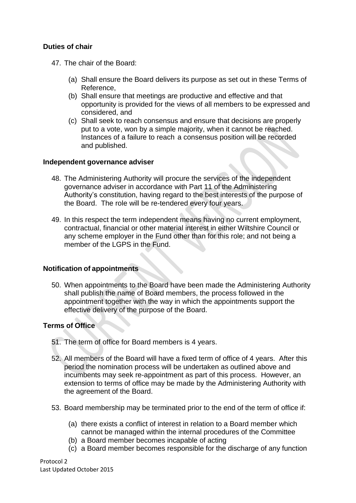## **Duties of chair**

- 47. The chair of the Board:
	- (a) Shall ensure the Board delivers its purpose as set out in these Terms of Reference,
	- (b) Shall ensure that meetings are productive and effective and that opportunity is provided for the views of all members to be expressed and considered, and
	- (c) Shall seek to reach consensus and ensure that decisions are properly put to a vote, won by a simple majority, when it cannot be reached. Instances of a failure to reach a consensus position will be recorded and published.

## **Independent governance adviser**

- 48. The Administering Authority will procure the services of the independent governance adviser in accordance with Part 11 of the Administering Authority's constitution, having regard to the best interests of the purpose of the Board. The role will be re-tendered every four years.
- 49. In this respect the term independent means having no current employment, contractual, financial or other material interest in either Wiltshire Council or any scheme employer in the Fund other than for this role; and not being a member of the LGPS in the Fund.

## **Notification of appointments**

50. When appointments to the Board have been made the Administering Authority shall publish the name of Board members, the process followed in the appointment together with the way in which the appointments support the effective delivery of the purpose of the Board.

## **Terms of Office**

- 51. The term of office for Board members is 4 years.
- 52. All members of the Board will have a fixed term of office of 4 years. After this period the nomination process will be undertaken as outlined above and incumbents may seek re-appointment as part of this process. However, an extension to terms of office may be made by the Administering Authority with the agreement of the Board.
- 53. Board membership may be terminated prior to the end of the term of office if:
	- (a) there exists a conflict of interest in relation to a Board member which cannot be managed within the internal procedures of the Committee
	- (b) a Board member becomes incapable of acting
	- (c) a Board member becomes responsible for the discharge of any function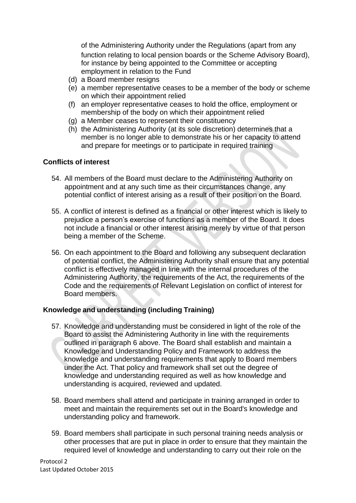of the Administering Authority under the Regulations (apart from any function relating to local pension boards or the Scheme Advisory Board), for instance by being appointed to the Committee or accepting employment in relation to the Fund

- (d) a Board member resigns
- (e) a member representative ceases to be a member of the body or scheme on which their appointment relied
- (f) an employer representative ceases to hold the office, employment or membership of the body on which their appointment relied
- (g) a Member ceases to represent their constituency
- (h) the Administering Authority (at its sole discretion) determines that a member is no longer able to demonstrate his or her capacity to attend and prepare for meetings or to participate in required training

## **Conflicts of interest**

- 54. All members of the Board must declare to the Administering Authority on appointment and at any such time as their circumstances change, any potential conflict of interest arising as a result of their position on the Board.
- 55. A conflict of interest is defined as a financial or other interest which is likely to prejudice a person's exercise of functions as a member of the Board. It does not include a financial or other interest arising merely by virtue of that person being a member of the Scheme.
- 56. On each appointment to the Board and following any subsequent declaration of potential conflict, the Administering Authority shall ensure that any potential conflict is effectively managed in line with the internal procedures of the Administering Authority, the requirements of the Act, the requirements of the Code and the requirements of Relevant Legislation on conflict of interest for Board members.

## **Knowledge and understanding (including Training)**

- 57. Knowledge and understanding must be considered in light of the role of the Board to assist the Administering Authority in line with the requirements outlined in paragra[ph](#page-2-0) 6 above. The Board shall establish and maintain a Knowledge and Understanding Policy and Framework to address the knowledge and understanding requirements that apply to Board members under the Act. That policy and framework shall set out the degree of knowledge and understanding required as well as how knowledge and understanding is acquired, reviewed and updated.
- 58. Board members shall attend and participate in training arranged in order to meet and maintain the requirements set out in the Board's knowledge and understanding policy and framework.
- 59. Board members shall participate in such personal training needs analysis or other processes that are put in place in order to ensure that they maintain the required level of knowledge and understanding to carry out their role on the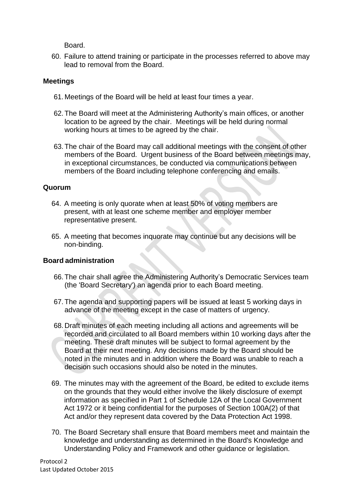Board.

60. Failure to attend training or participate in the processes referred to above may lead to removal from the Board.

## **Meetings**

- 61. Meetings of the Board will be held at least four times a year.
- 62.The Board will meet at the Administering Authority's main offices, or another location to be agreed by the chair. Meetings will be held during normal working hours at times to be agreed by the chair.
- 63.The chair of the Board may call additional meetings with the consent of other members of the Board. Urgent business of the Board between meetings may, in exceptional circumstances, be conducted via communications between members of the Board including telephone conferencing and emails.

## **Quorum**

- 64. A meeting is only quorate when at least 50% of voting members are present, with at least one scheme member and employer member representative present.
- 65. A meeting that becomes inquorate may continue but any decisions will be non-binding.

## **Board administration**

- 66.The chair shall agree the Administering Authority's Democratic Services team (the 'Board Secretary') an agenda prior to each Board meeting.
- 67.The agenda and supporting papers will be issued at least 5 working days in advance of the meeting except in the case of matters of urgency.
- 68. Draft minutes of each meeting including all actions and agreements will be recorded and circulated to all Board members within 10 working days after the meeting. These draft minutes will be subject to formal agreement by the Board at their next meeting. Any decisions made by the Board should be noted in the minutes and in addition where the Board was unable to reach a decision such occasions should also be noted in the minutes.
- 69. The minutes may with the agreement of the Board, be edited to exclude items on the grounds that they would either involve the likely disclosure of exempt information as specified in Part 1 of Schedule 12A of the Local Government Act 1972 or it being confidential for the purposes of Section 100A(2) of that Act and/or they represent data covered by the Data Protection Act 1998.
- 70. The Board Secretary shall ensure that Board members meet and maintain the knowledge and understanding as determined in the Board's Knowledge and Understanding Policy and Framework and other guidance or legislation.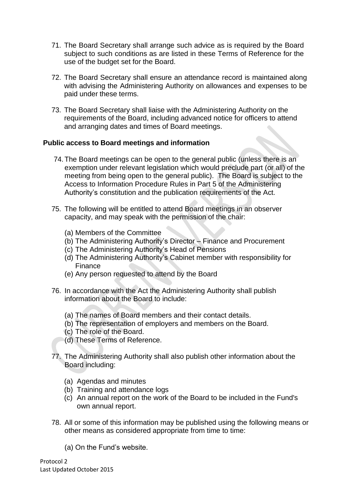- 71. The Board Secretary shall arrange such advice as is required by the Board subject to such conditions as are listed in these Terms of Reference for the use of the budget set for the Board.
- 72. The Board Secretary shall ensure an attendance record is maintained along with advising the Administering Authority on allowances and expenses to be paid under these terms.
- 73. The Board Secretary shall liaise with the Administering Authority on the requirements of the Board, including advanced notice for officers to attend and arranging dates and times of Board meetings.

## **Public access to Board meetings and information**

- 74.The Board meetings can be open to the general public (unless there is an exemption under relevant legislation which would preclude part (or all) of the meeting from being open to the general public). The Board is subject to the Access to Information Procedure Rules in Part 5 of the Administering Authority's constitution and the publication requirements of the Act.
- 75. The following will be entitled to attend Board meetings in an observer capacity, and may speak with the permission of the chair:
	- (a) Members of the Committee
	- (b) The Administering Authority's Director Finance and Procurement
	- (c) The Administering Authority's Head of Pensions
	- (d) The Administering Authority's Cabinet member with responsibility for Finance
	- (e) Any person requested to attend by the Board
- 76. In accordance with the Act the Administering Authority shall publish information about the Board to include:
	- (a) The names of Board members and their contact details.
	- (b) The representation of employers and members on the Board.
	- (c) The role of the Board.
	- (d) These Terms of Reference.
- 77. The Administering Authority shall also publish other information about the Board including:
	- (a) Agendas and minutes
	- (b) Training and attendance logs
	- (c) An annual report on the work of the Board to be included in the Fund's own annual report.
- 78. All or some of this information may be published using the following means or other means as considered appropriate from time to time:
	- (a) On the Fund's website.

Protocol 2 Last Updated October 2015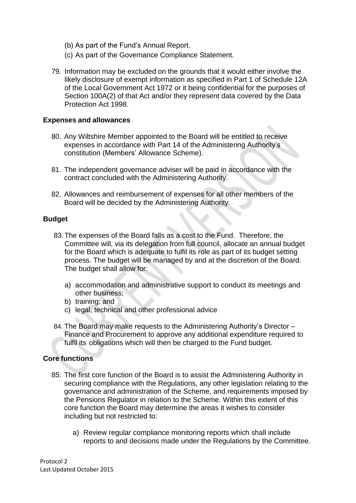- (b) As part of the Fund's Annual Report.
- (c) As part of the Governance Compliance Statement.
- 79. Information may be excluded on the grounds that it would either involve the likely disclosure of exempt information as specified in Part 1 of Schedule 12A of the Local Government Act 1972 or it being confidential for the purposes of Section 100A(2) of that Act and/or they represent data covered by the Data Protection Act 1998.

## **Expenses and allowances**

- 80. Any Wiltshire Member appointed to the Board will be entitled to receive expenses in accordance with Part 14 of the Administering Authority's constitution (Members' Allowance Scheme).
- 81. The independent governance adviser will be paid in accordance with the contract concluded with the Administering Authority.
- 82. Allowances and reimbursement of expenses for all other members of the Board will be decided by the Administering Authority.

## **Budget**

- 83.The expenses of the Board falls as a cost to the Fund. Therefore, the Committee will, via its delegation from full council, allocate an annual budget for the Board which is adequate to fulfil its role as part of its budget setting process. The budget will be managed by and at the discretion of the Board. The budget shall allow for:
	- a) accommodation and administrative support to conduct its meetings and other business;
	- b) training; and
	- c) legal, technical and other professional advice
- 84. The Board may make requests to the Administering Authority's Director Finance and Procurement to approve any additional expenditure required to fulfil its obligations which will then be charged to the Fund budget.

## **Core functions**

- 85. The first core function of the Board is to assist the Administering Authority in securing compliance with the Regulations, any other legislation relating to the governance and administration of the Scheme, and requirements imposed by the Pensions Regulator in relation to the Scheme. Within this extent of this core function the Board may determine the areas it wishes to consider including but not restricted to:
	- a) Review regular compliance monitoring reports which shall include reports to and decisions made under the Regulations by the Committee*.*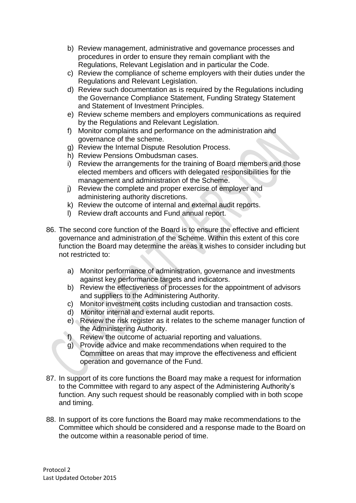- b) Review management, administrative and governance processes and procedures in order to ensure they remain compliant with the Regulations, Relevant Legislation and in particular the Code.
- c) Review the compliance of scheme employers with their duties under the Regulations and Relevant Legislation.
- d) Review such documentation as is required by the Regulations including the Governance Compliance Statement, Funding Strategy Statement and Statement of Investment Principles.
- e) Review scheme members and employers communications as required by the Regulations and Relevant Legislation.
- f) Monitor complaints and performance on the administration and governance of the scheme.
- g) Review the Internal Dispute Resolution Process.
- h) Review Pensions Ombudsman cases.
- i) Review the arrangements for the training of Board members and those elected members and officers with delegated responsibilities for the management and administration of the Scheme.
- j) Review the complete and proper exercise of employer and administering authority discretions.
- k) Review the outcome of internal and external audit reports.
- l) Review draft accounts and Fund annual report.
- 86. The second core function of the Board is to ensure the effective and efficient governance and administration of the Scheme. Within this extent of this core function the Board may determine the areas it wishes to consider including but not restricted to:
	- a) Monitor performance of administration, governance and investments against key performance targets and indicators.
	- b) Review the effectiveness of processes for the appointment of advisors and suppliers to the Administering Authority.
	- c) Monitor investment costs including custodian and transaction costs.
	- d) Monitor internal and external audit reports.
	- e) Review the risk register as it relates to the scheme manager function of the Administering Authority.
	- f) Review the outcome of actuarial reporting and valuations.
	- g) Provide advice and make recommendations when required to the Committee on areas that may improve the effectiveness and efficient operation and governance of the Fund.
- 87. In support of its core functions the Board may make a request for information to the Committee with regard to any aspect of the Administering Authority's function. Any such request should be reasonably complied with in both scope and timing.
- 88. In support of its core functions the Board may make recommendations to the Committee which should be considered and a response made to the Board on the outcome within a reasonable period of time.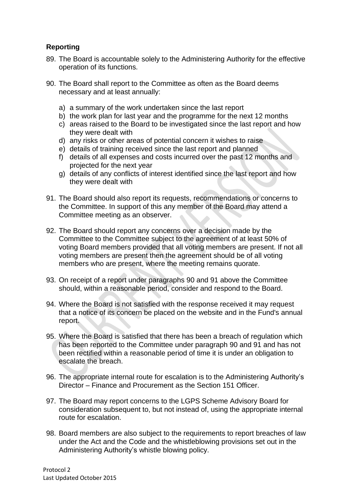# **Reporting**

- 89. The Board is accountable solely to the Administering Authority for the effective operation of its functions.
- <span id="page-13-0"></span>90. The Board shall report to the Committee as often as the Board deems necessary and at least annually:
	- a) a summary of the work undertaken since the last report
	- b) the work plan for last year and the programme for the next 12 months
	- c) areas raised to the Board to be investigated since the last report and how they were dealt with
	- d) any risks or other areas of potential concern it wishes to raise
	- e) details of training received since the last report and planned
	- f) details of all expenses and costs incurred over the past 12 months and projected for the next year
	- g) details of any conflicts of interest identified since the last report and how they were dealt with
- <span id="page-13-1"></span>91. The Board should also report its requests, recommendations or concerns to the Committee. In support of this any member of the Board may attend a Committee meeting as an observer.
- 92. The Board should report any concerns over a decision made by the Committee to the Committee subject to the agreement of at least 50% of voting Board members provided that all voting members are present. If not all voting members are present then the agreement should be of all voting members who are present, where the meeting remains quorate.
- 93. On receipt of a report under paragraphs [90](#page-13-0) and [91](#page-13-1) above the Committee should, within a reasonable period, consider and respond to the Board.
- 94. Where the Board is not satisfied with the response received it may request that a notice of its concern be placed on the website and in the Fund's annual report.
- 95. Where the Board is satisfied that there has been a breach of regulation which has been reported to the Committee under paragraph [90](#page-13-0) and [91](#page-13-1) and has not been rectified within a reasonable period of time it is under an obligation to escalate the breach.
- 96. The appropriate internal route for escalation is to the Administering Authority's Director – Finance and Procurement as the Section 151 Officer.
- 97. The Board may report concerns to the LGPS Scheme Advisory Board for consideration subsequent to, but not instead of, using the appropriate internal route for escalation.
- 98. Board members are also subject to the requirements to report breaches of law under the Act and the Code and the whistleblowing provisions set out in the Administering Authority's whistle blowing policy.